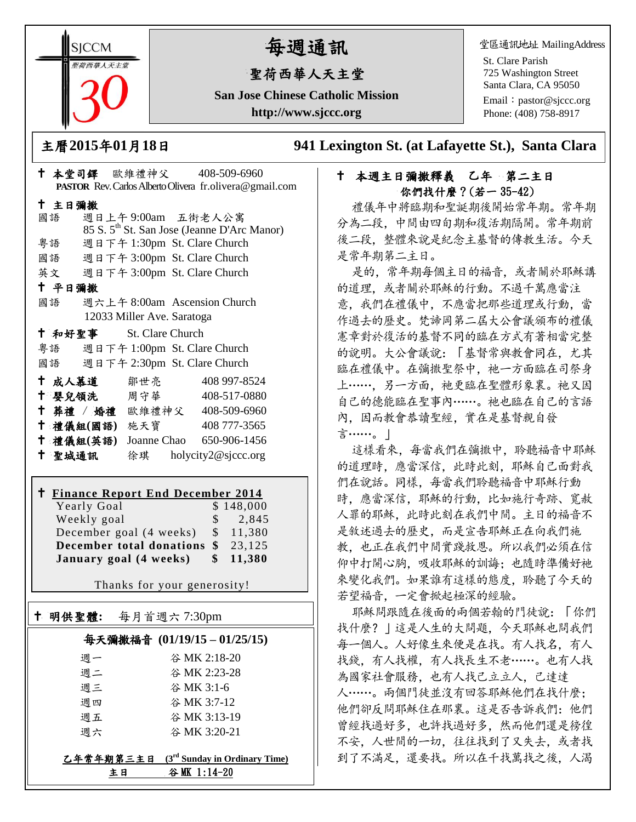**SICCM** 智荷西華人天主堂

# 每週通訊

## 聖荷西華人天主堂

**San Jose Chinese Catholic Mission http://www.sjccc.org**

堂區通訊地址 MailingAddress

St. Clare Parish 725 Washington Street Santa Clara, CA 95050

Email: [pastor@sjccc.org](mailto:pastor@sjccc.org) Phone: (408) 758-8917

主曆**2015**年**01**月**18**日 **941 Lexington St. (at Lafayette St.), Santa Clara** 

#### 本堂司鐸 歐維禮神父 408-509-6960 **PASTOR** Rev. Carlos Alberto Olivera fr.olivera@gmail.com 主日彌撒 國語 週日上午 9:00am 五街老人公寓 85 S. 5th St. San Jose (Jeanne D'Arc Manor) 粵語 週日下午 1:30pm St. Clare Church 國語 週日下午 3:00pm St. Clare Church 英文 週日下午 3:00pm St. Clare Church 平日彌撒 國語 週六上午 8:00am Ascension Church 12033 Miller Ave. Saratoga 和好聖事 St. Clare Church 粵語 週日下午 1:00pm St. Clare Church 國語 週日下午 2:30pm St. Clare Church 成人慕道 鄒世亮 408 997-8524 十 嬰兒領洗 周守華 408-517-0880 葬禮 / 婚禮 歐維禮神父 408-509-6960 禮儀組**(**國語**)** 施天寶 408 777-3565 禮儀組**(**英語**)** Joanne Chao 650-906-1456

聖城通訊 徐琪 holycity2@sjccc.org

## **Finance Report End December 2014**

| Yearly Goal                       | \$148,000           |
|-----------------------------------|---------------------|
| Weekly goal                       | $\frac{1}{2}$ , 845 |
| December goal (4 weeks) \$ 11,380 |                     |
| December total donations \$23,125 |                     |
| January goal (4 weeks)            | \$11,380            |

Thanks for your generosity!

## 明供聖體**:** 每月首週六 7:30pm 每天彌撒福音 **(01/19/15 – 01/25/15)** 週一 谷 MK 2:18-20 週二 谷 MK 2:23-28

Ξ

| ŧВ | 谷 MK 1:14-20                            |
|----|-----------------------------------------|
|    | 乙年常年期第三主日 (3rd Sunday in Ordinary Time) |
| 週六 | 谷 MK 3:20-21                            |
| 调五 | 谷 MK 3:13-19                            |
| 週四 | 谷 MK 3:7-12                             |
| 调三 | 谷 MK 3:1-6                              |

#### 十 本週主日彌撒釋義 乙年 第二主日 你們找什麼?(若一 35-42)

禮儀年中將臨期和聖誕期後開始常年期。常年期 分為二段,中間由四旬期和復活期隔開。常年期前 後二段,整體來說是紀念主基督的傳教生活。今天 是常年期第二主日。

是的,常年期每個主日的福音,或者關於耶穌講 的道理,或者關於耶穌的行動。不過千萬應當注 意,我們在禮儀中,不應當把那些道理或行動,當 作過去的歷史。梵諦岡第二屆大公會議頒布的禮儀 憲章對於復活的基督不同的臨在方式有著相當完整 的說明。大公會議說:「基督常與教會同在,尤其 臨在禮儀中。在彌撒聖祭中,祂一方面臨在司祭身 上……,另一方面,祂更臨在聖體形象裏。祂又因 自己的德能臨在聖事內……。祂也臨在自己的言語 內,因而教會恭讀聖經,實在是基督親自發 言……。」

這樣看來,每當我們在彌撒中,聆聽福音中耶穌 的道理時,應當深信,此時此刻,耶穌自己面對我 們在說話。同樣,每當我們聆聽福音中耶穌行動 時,應當深信,耶穌的行動,比如施行奇跡、寬赦 人罪的耶穌,此時此刻在我們中間。主日的福音不 是敘述過去的歷史,而是宣告耶穌正在向我們施 教,也正在我們中間實踐救恩。所以我們必須在信 仰中打開心胸, 吸收耶穌的訓誨; 也隨時準備好祂 來變化我們。如果誰有這樣的態度,聆聽了今天的 若望福音,一定會掀起極深的經驗。

耶穌問跟隨在後面的兩個若翰的門徒說:「你們 找什麼?」這是人生的大問題,今天耶穌也問我們 每一個人。人好像生來便是在找。有人找名,有人 找錢,有人找權,有人找長生不老……。也有人找 為國家社會服務,也有人找己立立人,己達達 人……。兩個門徒並沒有回答耶穌他們在找什麼; 他們卻反問耶穌住在那裏。這是否告訴我們:他們 曾經找過好多,也許找過好多,然而他們還是徬徨 不安,人世間的一切,往往找到了又失去,或者找 到了不滿足,還要找。所以在千找萬找之後,人渴